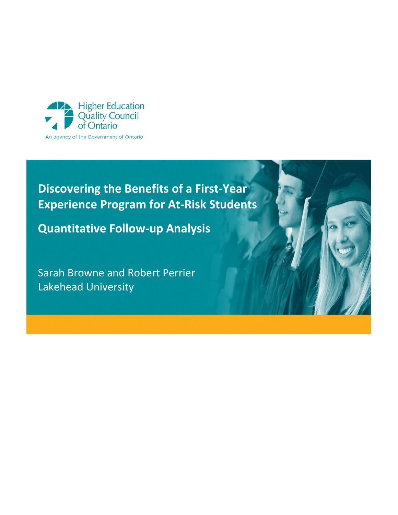

# **Discovering the Benefits of a First-Year Experience Program for At-Risk Students**

**Quantitative Follow-up Analysis**

Sarah Browne and Robert Perrier Lakehead University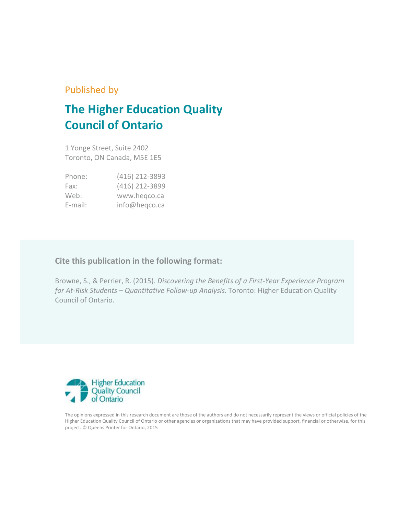## Published by

# **The Higher Education Quality Council of Ontario**

1 Yonge Street, Suite 2402 Toronto, ON Canada, M5E 1E5

| Phone:     | (416) 212-3893 |
|------------|----------------|
| Fax:       | (416) 212-3899 |
| Web:       | www.hegco.ca   |
| $E$ -mail: | info@heqco.ca  |

### **Cite this publication in the following format:**

Browne, S., & Perrier, R. (2015). *Discovering the Benefits of a First-Year Experience Program for At-Risk Students – Quantitative Follow-up Analysis.* Toronto: Higher Education Quality Council of Ontario.



The opinions expressed in this research document are those of the authors and do not necessarily represent the views or official policies of the Higher Education Quality Council of Ontario or other agencies or organizations that may have provided support, financial or otherwise, for this project. © Queens Printer for Ontario, 2015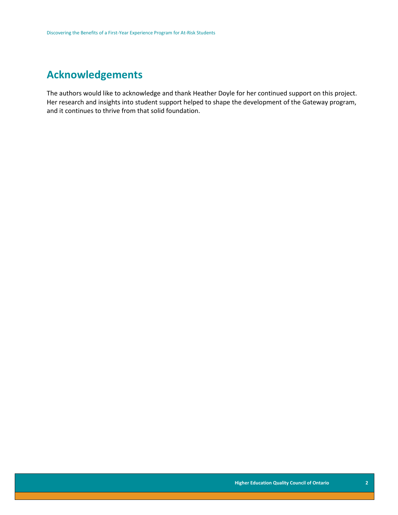## **Acknowledgements**

The authors would like to acknowledge and thank Heather Doyle for her continued support on this project. Her research and insights into student support helped to shape the development of the Gateway program, and it continues to thrive from that solid foundation.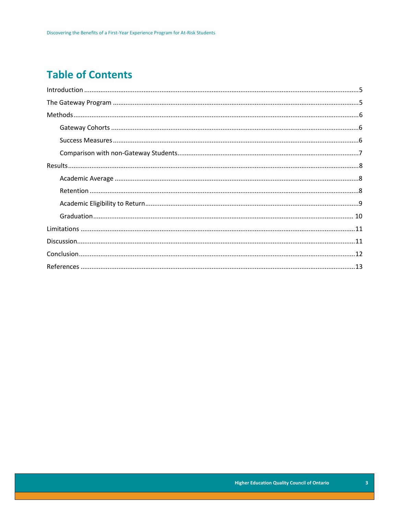## **Table of Contents**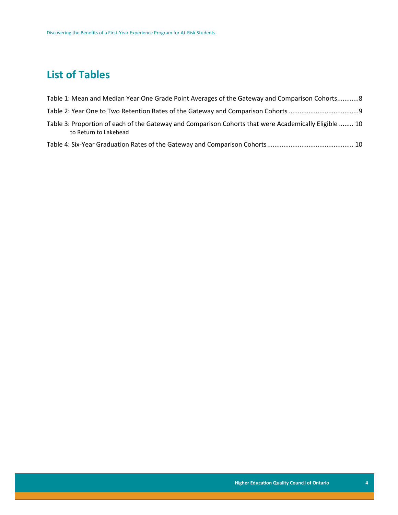## **List of Tables**

| Table 1: Mean and Median Year One Grade Point Averages of the Gateway and Comparison Cohorts8                                  |  |
|--------------------------------------------------------------------------------------------------------------------------------|--|
|                                                                                                                                |  |
| Table 3: Proportion of each of the Gateway and Comparison Cohorts that were Academically Eligible  10<br>to Return to Lakehead |  |
|                                                                                                                                |  |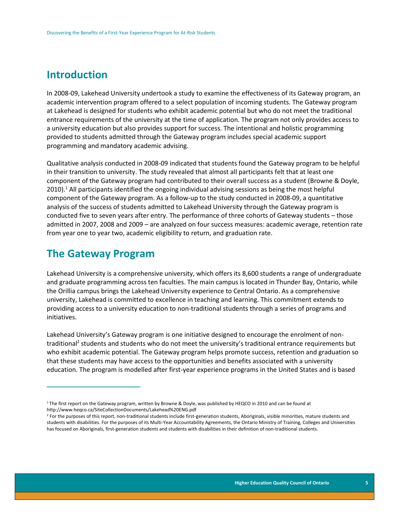## <span id="page-5-0"></span>**Introduction**

In 2008-09, Lakehead University undertook a study to examine the effectiveness of its Gateway program, an academic intervention program offered to a select population of incoming students. The Gateway program at Lakehead is designed for students who exhibit academic potential but who do not meet the traditional entrance requirements of the university at the time of application. The program not only provides access to a university education but also provides support for success. The intentional and holistic programming provided to students admitted through the Gateway program includes special academic support programming and mandatory academic advising.

Qualitative analysis conducted in 2008-09 indicated that students found the Gateway program to be helpful in their transition to university. The study revealed that almost all participants felt that at least one component of the Gateway program had contributed to their overall success as a student (Browne & Doyle, 2010).<sup>1</sup> All participants identified the ongoing individual advising sessions as being the most helpful component of the Gateway program. As a follow-up to the study conducted in 2008-09, a quantitative analysis of the success of students admitted to Lakehead University through the Gateway program is conducted five to seven years after entry. The performance of three cohorts of Gateway students – those admitted in 2007, 2008 and 2009 – are analyzed on four success measures: academic average, retention rate from year one to year two, academic eligibility to return, and graduation rate.

## <span id="page-5-1"></span>**The Gateway Program**

 $\overline{a}$ 

Lakehead University is a comprehensive university, which offers its 8,600 students a range of undergraduate and graduate programming across ten faculties. The main campus is located in Thunder Bay, Ontario, while the Orillia campus brings the Lakehead University experience to Central Ontario. As a comprehensive university, Lakehead is committed to excellence in teaching and learning. This commitment extends to providing access to a university education to non-traditional students through a series of programs and initiatives.

Lakehead University's Gateway program is one initiative designed to encourage the enrolment of nontraditional<sup>2</sup> students and students who do not meet the university's traditional entrance requirements but who exhibit academic potential. The Gateway program helps promote success, retention and graduation so that these students may have access to the opportunities and benefits associated with a university education. The program is modelled after first-year experience programs in the United States and is based

 $1$ The first report on the Gateway program, written by Browne & Doyle, was published by HEQCO in 2010 and can be found at http://www.heqco.ca/SiteCollectionDocuments/Lakehead%20ENG.pdf

<sup>&</sup>lt;sup>2</sup> For the purposes of this report, non-traditional students include first-generation students, Aboriginals, visible minorities, mature students and students with disabilities. For the purposes of its Multi-Year Accountability Agreements, the Ontario Ministry of Training, Colleges and Universities has focused on Aboriginals, first-generation students and students with disabilities in their definition of non-traditional students.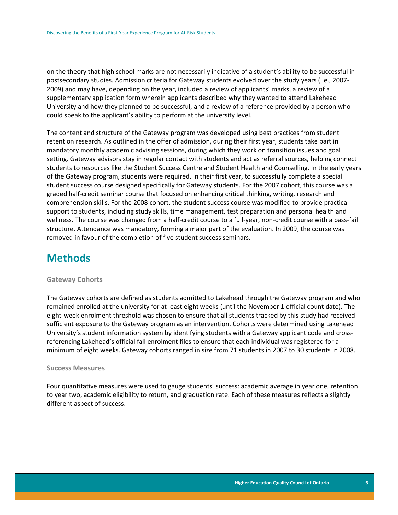on the theory that high school marks are not necessarily indicative of a student's ability to be successful in postsecondary studies. Admission criteria for Gateway students evolved over the study years (i.e., 2007- 2009) and may have, depending on the year, included a review of applicants' marks, a review of a supplementary application form wherein applicants described why they wanted to attend Lakehead University and how they planned to be successful, and a review of a reference provided by a person who could speak to the applicant's ability to perform at the university level.

The content and structure of the Gateway program was developed using best practices from student retention research. As outlined in the offer of admission, during their first year, students take part in mandatory monthly academic advising sessions, during which they work on transition issues and goal setting. Gateway advisors stay in regular contact with students and act as referral sources, helping connect students to resources like the Student Success Centre and Student Health and Counselling. In the early years of the Gateway program, students were required, in their first year, to successfully complete a special student success course designed specifically for Gateway students. For the 2007 cohort, this course was a graded half-credit seminar course that focused on enhancing critical thinking, writing, research and comprehension skills. For the 2008 cohort, the student success course was modified to provide practical support to students, including study skills, time management, test preparation and personal health and wellness. The course was changed from a half-credit course to a full-year, non-credit course with a pass-fail structure. Attendance was mandatory, forming a major part of the evaluation. In 2009, the course was removed in favour of the completion of five student success seminars.

## <span id="page-6-0"></span>**Methods**

#### <span id="page-6-1"></span>**Gateway Cohorts**

The Gateway cohorts are defined as students admitted to Lakehead through the Gateway program and who remained enrolled at the university for at least eight weeks (until the November 1 official count date). The eight-week enrolment threshold was chosen to ensure that all students tracked by this study had received sufficient exposure to the Gateway program as an intervention. Cohorts were determined using Lakehead University's student information system by identifying students with a Gateway applicant code and crossreferencing Lakehead's official fall enrolment files to ensure that each individual was registered for a minimum of eight weeks. Gateway cohorts ranged in size from 71 students in 2007 to 30 students in 2008.

#### <span id="page-6-2"></span>**Success Measures**

Four quantitative measures were used to gauge students' success: academic average in year one, retention to year two, academic eligibility to return, and graduation rate. Each of these measures reflects a slightly different aspect of success.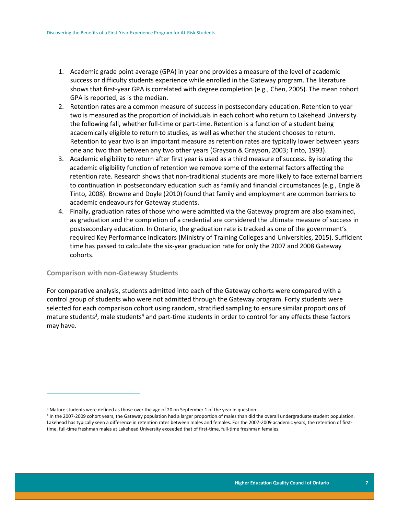- 1. Academic grade point average (GPA) in year one provides a measure of the level of academic success or difficulty students experience while enrolled in the Gateway program. The literature shows that first-year GPA is correlated with degree completion (e.g., Chen, 2005). The mean cohort GPA is reported, as is the median.
- 2. Retention rates are a common measure of success in postsecondary education. Retention to year two is measured as the proportion of individuals in each cohort who return to Lakehead University the following fall, whether full-time or part-time. Retention is a function of a student being academically eligible to return to studies, as well as whether the student chooses to return. Retention to year two is an important measure as retention rates are typically lower between years one and two than between any two other years (Grayson & Grayson, 2003; Tinto, 1993).
- 3. Academic eligibility to return after first year is used as a third measure of success. By isolating the academic eligibility function of retention we remove some of the external factors affecting the retention rate. Research shows that non-traditional students are more likely to face external barriers to continuation in postsecondary education such as family and financial circumstances (e.g., Engle & Tinto, 2008). Browne and Doyle (2010) found that family and employment are common barriers to academic endeavours for Gateway students.
- 4. Finally, graduation rates of those who were admitted via the Gateway program are also examined, as graduation and the completion of a credential are considered the ultimate measure of success in postsecondary education. In Ontario, the graduation rate is tracked as one of the government's required Key Performance Indicators (Ministry of Training Colleges and Universities, 2015). Sufficient time has passed to calculate the six-year graduation rate for only the 2007 and 2008 Gateway cohorts.

#### <span id="page-7-0"></span>**Comparison with non-Gateway Students**

 $\overline{a}$ 

For comparative analysis, students admitted into each of the Gateway cohorts were compared with a control group of students who were not admitted through the Gateway program. Forty students were selected for each comparison cohort using random, stratified sampling to ensure similar proportions of mature students<sup>3</sup>, male students<sup>4</sup> and part-time students in order to control for any effects these factors may have.

<sup>&</sup>lt;sup>3</sup> Mature students were defined as those over the age of 20 on September 1 of the year in question.

<sup>4</sup> In the 2007-2009 cohort years, the Gateway population had a larger proportion of males than did the overall undergraduate student population. Lakehead has typically seen a difference in retention rates between males and females. For the 2007-2009 academic years, the retention of firsttime, full-time freshman males at Lakehead University exceeded that of first-time, full-time freshman females.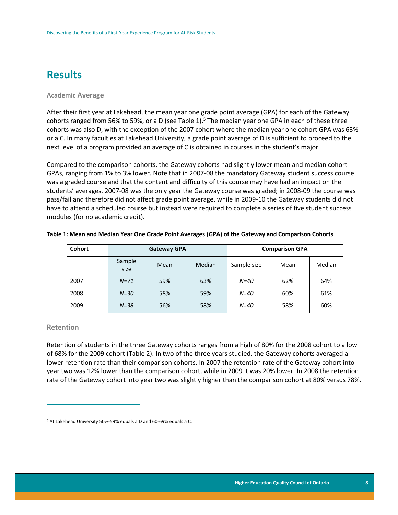## <span id="page-8-0"></span>**Results**

#### <span id="page-8-1"></span>**Academic Average**

After their first year at Lakehead, the mean year one grade point average (GPA) for each of the Gateway cohorts ranged from 56% to 59%, or a D (see Table 1).<sup>5</sup> The median year one GPA in each of these three cohorts was also D, with the exception of the 2007 cohort where the median year one cohort GPA was 63% or a C. In many faculties at Lakehead University, a grade point average of D is sufficient to proceed to the next level of a program provided an average of C is obtained in courses in the student's major.

Compared to the comparison cohorts, the Gateway cohorts had slightly lower mean and median cohort GPAs, ranging from 1% to 3% lower. Note that in 2007-08 the mandatory Gateway student success course was a graded course and that the content and difficulty of this course may have had an impact on the students' averages. 2007-08 was the only year the Gateway course was graded; in 2008-09 the course was pass/fail and therefore did not affect grade point average, while in 2009-10 the Gateway students did not have to attend a scheduled course but instead were required to complete a series of five student success modules (for no academic credit).

| <b>Cohort</b> | <b>Gateway GPA</b> |      | <b>Comparison GPA</b> |             |      |        |
|---------------|--------------------|------|-----------------------|-------------|------|--------|
|               | Sample<br>size     | Mean | Median                | Sample size | Mean | Median |
| 2007          | $N=71$             | 59%  | 63%                   | $N=40$      | 62%  | 64%    |
| 2008          | $N=30$             | 58%  | 59%                   | $N = 40$    | 60%  | 61%    |
| 2009          | $N = 38$           | 56%  | 58%                   | $N = 40$    | 58%  | 60%    |

#### <span id="page-8-3"></span>**Table 1: Mean and Median Year One Grade Point Averages (GPA) of the Gateway and Comparison Cohorts**

#### <span id="page-8-2"></span>**Retention**

 $\overline{a}$ 

Retention of students in the three Gateway cohorts ranges from a high of 80% for the 2008 cohort to a low of 68% for the 2009 cohort (Table 2). In two of the three years studied, the Gateway cohorts averaged a lower retention rate than their comparison cohorts. In 2007 the retention rate of the Gateway cohort into year two was 12% lower than the comparison cohort, while in 2009 it was 20% lower. In 2008 the retention rate of the Gateway cohort into year two was slightly higher than the comparison cohort at 80% versus 78%.

<sup>5</sup> At Lakehead University 50%-59% equals a D and 60-69% equals a C.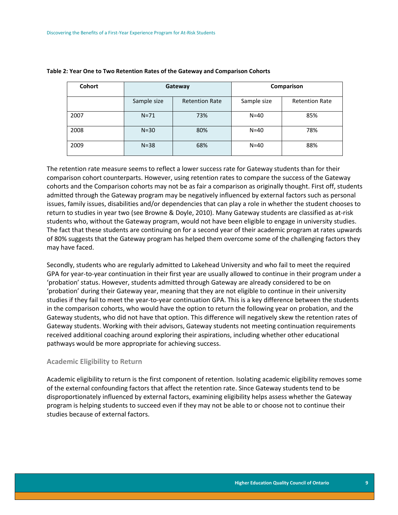| Cohort | Gateway     |                       | Comparison  |                       |  |
|--------|-------------|-----------------------|-------------|-----------------------|--|
|        | Sample size | <b>Retention Rate</b> | Sample size | <b>Retention Rate</b> |  |
| 2007   | $N = 71$    | 73%                   | $N=40$      | 85%                   |  |
| 2008   | $N = 30$    | 80%                   | $N=40$      | 78%                   |  |
| 2009   | $N = 38$    | 68%                   | $N=40$      | 88%                   |  |

#### <span id="page-9-1"></span>**Table 2: Year One to Two Retention Rates of the Gateway and Comparison Cohorts**

The retention rate measure seems to reflect a lower success rate for Gateway students than for their comparison cohort counterparts. However, using retention rates to compare the success of the Gateway cohorts and the Comparison cohorts may not be as fair a comparison as originally thought. First off, students admitted through the Gateway program may be negatively influenced by external factors such as personal issues, family issues, disabilities and/or dependencies that can play a role in whether the student chooses to return to studies in year two (see Browne & Doyle, 2010). Many Gateway students are classified as at-risk students who, without the Gateway program, would not have been eligible to engage in university studies. The fact that these students are continuing on for a second year of their academic program at rates upwards of 80% suggests that the Gateway program has helped them overcome some of the challenging factors they may have faced.

Secondly, students who are regularly admitted to Lakehead University and who fail to meet the required GPA for year-to-year continuation in their first year are usually allowed to continue in their program under a 'probation' status. However, students admitted through Gateway are already considered to be on 'probation' during their Gateway year, meaning that they are not eligible to continue in their university studies if they fail to meet the year-to-year continuation GPA. This is a key difference between the students in the comparison cohorts, who would have the option to return the following year on probation, and the Gateway students, who did not have that option. This difference will negatively skew the retention rates of Gateway students. Working with their advisors, Gateway students not meeting continuation requirements received additional coaching around exploring their aspirations, including whether other educational pathways would be more appropriate for achieving success.

#### <span id="page-9-0"></span>**Academic Eligibility to Return**

Academic eligibility to return is the first component of retention. Isolating academic eligibility removes some of the external confounding factors that affect the retention rate. Since Gateway students tend to be disproportionately influenced by external factors, examining eligibility helps assess whether the Gateway program is helping students to succeed even if they may not be able to or choose not to continue their studies because of external factors.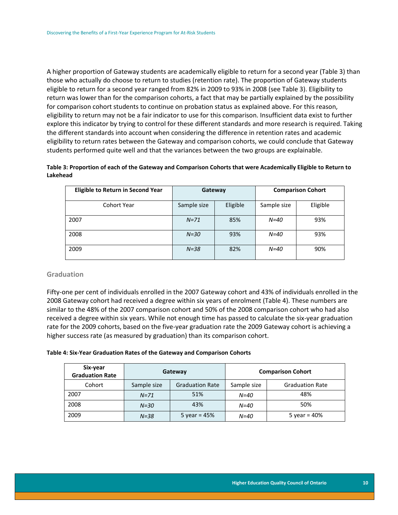A higher proportion of Gateway students are academically eligible to return for a second year (Table 3) than those who actually do choose to return to studies (retention rate). The proportion of Gateway students eligible to return for a second year ranged from 82% in 2009 to 93% in 2008 (see Table 3). Eligibility to return was lower than for the comparison cohorts, a fact that may be partially explained by the possibility for comparison cohort students to continue on probation status as explained above. For this reason, eligibility to return may not be a fair indicator to use for this comparison. Insufficient data exist to further explore this indicator by trying to control for these different standards and more research is required. Taking the different standards into account when considering the difference in retention rates and academic eligibility to return rates between the Gateway and comparison cohorts, we could conclude that Gateway students performed quite well and that the variances between the two groups are explainable.

#### <span id="page-10-1"></span>**Table 3: Proportion of each of the Gateway and Comparison Cohorts that were Academically Eligible to Return to Lakehead**

| <b>Eligible to Return in Second Year</b> | Gateway     |          | <b>Comparison Cohort</b> |          |
|------------------------------------------|-------------|----------|--------------------------|----------|
| <b>Cohort Year</b>                       | Sample size | Eligible | Sample size              | Eligible |
| 2007                                     | $N = 71$    | 85%      | $N=40$                   | 93%      |
| 2008                                     | $N=30$      | 93%      | $N=40$                   | 93%      |
| 2009                                     | $N = 38$    | 82%      | $N=40$                   | 90%      |

#### <span id="page-10-0"></span>**Graduation**

Fifty-one per cent of individuals enrolled in the 2007 Gateway cohort and 43% of individuals enrolled in the 2008 Gateway cohort had received a degree within six years of enrolment (Table 4). These numbers are similar to the 48% of the 2007 comparison cohort and 50% of the 2008 comparison cohort who had also received a degree within six years. While not enough time has passed to calculate the six-year graduation rate for the 2009 cohorts, based on the five-year graduation rate the 2009 Gateway cohort is achieving a higher success rate (as measured by graduation) than its comparison cohort.

#### <span id="page-10-2"></span>**Table 4: Six-Year Graduation Rates of the Gateway and Comparison Cohorts**

| Six-year<br><b>Graduation Rate</b> | Gateway     |                        | <b>Comparison Cohort</b> |                        |
|------------------------------------|-------------|------------------------|--------------------------|------------------------|
| Cohort                             | Sample size | <b>Graduation Rate</b> | Sample size              | <b>Graduation Rate</b> |
| 2007                               | $N = 71$    | 51%                    | $N = 40$                 | 48%                    |
| 2008                               | $N = 30$    | 43%                    | $N = 40$                 | 50%                    |
| 2009                               | $N = 38$    | 5 year = $45%$         | $N = 40$                 | 5 year = $40%$         |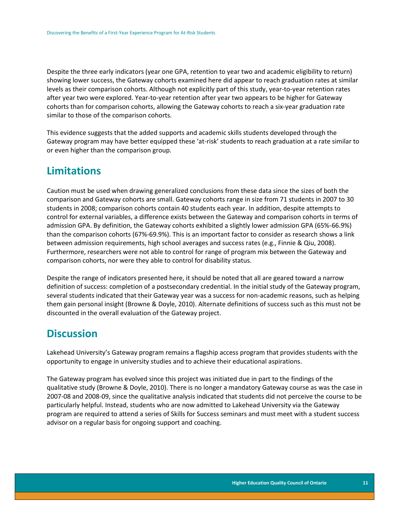Despite the three early indicators (year one GPA, retention to year two and academic eligibility to return) showing lower success, the Gateway cohorts examined here did appear to reach graduation rates at similar levels as their comparison cohorts. Although not explicitly part of this study, year-to-year retention rates after year two were explored. Year-to-year retention after year two appears to be higher for Gateway cohorts than for comparison cohorts, allowing the Gateway cohorts to reach a six-year graduation rate similar to those of the comparison cohorts.

This evidence suggests that the added supports and academic skills students developed through the Gateway program may have better equipped these 'at-risk' students to reach graduation at a rate similar to or even higher than the comparison group.

### <span id="page-11-0"></span>**Limitations**

Caution must be used when drawing generalized conclusions from these data since the sizes of both the comparison and Gateway cohorts are small. Gateway cohorts range in size from 71 students in 2007 to 30 students in 2008; comparison cohorts contain 40 students each year. In addition, despite attempts to control for external variables, a difference exists between the Gateway and comparison cohorts in terms of admission GPA. By definition, the Gateway cohorts exhibited a slightly lower admission GPA (65%-66.9%) than the comparison cohorts (67%-69.9%). This is an important factor to consider as research shows a link between admission requirements, high school averages and success rates (e.g., Finnie & Qiu, 2008). Furthermore, researchers were not able to control for range of program mix between the Gateway and comparison cohorts, nor were they able to control for disability status.

Despite the range of indicators presented here, it should be noted that all are geared toward a narrow definition of success: completion of a postsecondary credential. In the initial study of the Gateway program, several students indicated that their Gateway year was a success for non-academic reasons, such as helping them gain personal insight (Browne & Doyle, 2010). Alternate definitions of success such as this must not be discounted in the overall evaluation of the Gateway project.

## <span id="page-11-1"></span>**Discussion**

Lakehead University's Gateway program remains a flagship access program that provides students with the opportunity to engage in university studies and to achieve their educational aspirations.

The Gateway program has evolved since this project was initiated due in part to the findings of the qualitative study (Browne & Doyle, 2010). There is no longer a mandatory Gateway course as was the case in 2007-08 and 2008-09, since the qualitative analysis indicated that students did not perceive the course to be particularly helpful. Instead, students who are now admitted to Lakehead University via the Gateway program are required to attend a series of Skills for Success seminars and must meet with a student success advisor on a regular basis for ongoing support and coaching.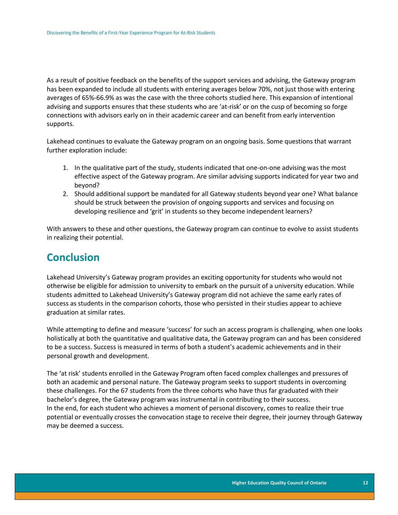As a result of positive feedback on the benefits of the support services and advising, the Gateway program has been expanded to include all students with entering averages below 70%, not just those with entering averages of 65%-66.9% as was the case with the three cohorts studied here. This expansion of intentional advising and supports ensures that these students who are 'at-risk' or on the cusp of becoming so forge connections with advisors early on in their academic career and can benefit from early intervention supports.

Lakehead continues to evaluate the Gateway program on an ongoing basis. Some questions that warrant further exploration include:

- 1. In the qualitative part of the study, students indicated that one-on-one advising was the most effective aspect of the Gateway program. Are similar advising supports indicated for year two and beyond?
- 2. Should additional support be mandated for all Gateway students beyond year one? What balance should be struck between the provision of ongoing supports and services and focusing on developing resilience and 'grit' in students so they become independent learners?

With answers to these and other questions, the Gateway program can continue to evolve to assist students in realizing their potential.

## <span id="page-12-0"></span>**Conclusion**

Lakehead University's Gateway program provides an exciting opportunity for students who would not otherwise be eligible for admission to university to embark on the pursuit of a university education. While students admitted to Lakehead University's Gateway program did not achieve the same early rates of success as students in the comparison cohorts, those who persisted in their studies appear to achieve graduation at similar rates.

While attempting to define and measure 'success' for such an access program is challenging, when one looks holistically at both the quantitative and qualitative data, the Gateway program can and has been considered to be a success. Success is measured in terms of both a student's academic achievements and in their personal growth and development.

The 'at risk' students enrolled in the Gateway Program often faced complex challenges and pressures of both an academic and personal nature. The Gateway program seeks to support students in overcoming these challenges. For the 67 students from the three cohorts who have thus far graduated with their bachelor's degree, the Gateway program was instrumental in contributing to their success. In the end, for each student who achieves a moment of personal discovery, comes to realize their true potential or eventually crosses the convocation stage to receive their degree, their journey through Gateway may be deemed a success.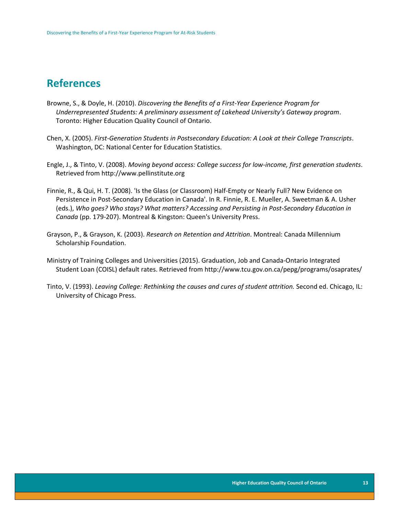## <span id="page-13-0"></span>**References**

- Browne, S., & Doyle, H. (2010). *Discovering the Benefits of a First-Year Experience Program for Underrepresented Students: A preliminary assessment of Lakehead University's Gateway program*. Toronto: Higher Education Quality Council of Ontario.
- Chen, X. (2005). *First-Generation Students in Postsecondary Education: A Look at their College Transcripts*. Washington, DC: National Center for Education Statistics.
- Engle, J., & Tinto, V. (2008). *Moving beyond access: College success for low-income, first generation students*. Retrieved from http://www.pellinstitute.org
- Finnie, R., & Qui, H. T. (2008). 'Is the Glass (or Classroom) Half-Empty or Nearly Full? New Evidence on Persistence in Post-Secondary Education in Canada'. In R. Finnie, R. E. Mueller, A. Sweetman & A. Usher (eds.), *Who goes? Who stays? What matters? Accessing and Persisting in Post-Secondary Education in Canada* (pp. 179-207). Montreal & Kingston: Queen's University Press.
- Grayson, P., & Grayson, K. (2003). *Research on Retention and Attrition*. Montreal: Canada Millennium Scholarship Foundation.
- Ministry of Training Colleges and Universities (2015). Graduation, Job and Canada-Ontario Integrated Student Loan (COISL) default rates. Retrieved from http://www.tcu.gov.on.ca/pepg/programs/osaprates/
- Tinto, V. (1993). *Leaving College: Rethinking the causes and cures of student attrition.* Second ed. Chicago, IL: University of Chicago Press.